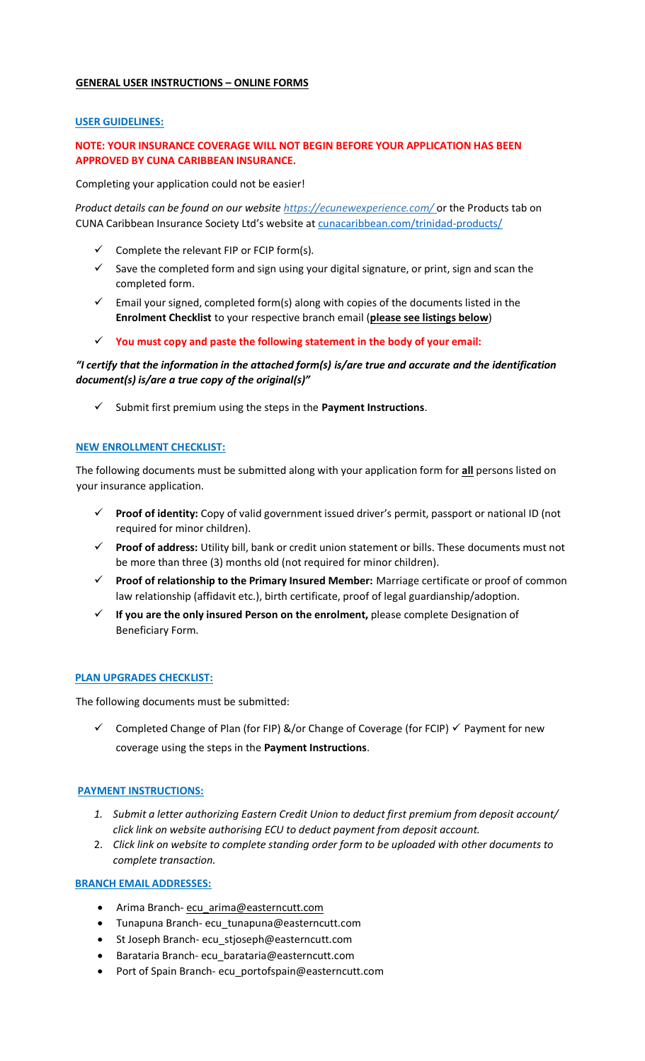## **GENERAL USER INSTRUCTIONS – ONLINE FORMS**

### **USER GUIDELINES:**

# **NOTE: YOUR INSURANCE COVERAGE WILL NOT BEGIN BEFORE YOUR APPLICATION HAS BEEN APPROVED BY CUNA CARIBBEAN INSURANCE.**

Completing your application could not be easier!

*Product details can be found on our website https://ecunewexperience.com/* or the Products tab on CUNA Caribbean Insurance Society Ltd's website at cunacaribbean.com/trinidad-products/

- $\checkmark$  Complete the relevant FIP or FCIP form(s).
- $\checkmark$  Save the completed form and sign using your digital signature, or print, sign and scan the completed form.
- $\checkmark$  Email your signed, completed form(s) along with copies of the documents listed in the **Enrolment Checklist** to your respective branch email (**please see listings below**)
- **You must copy and paste the following statement in the body of your email:**

# *"I certify that the information in the attached form(s) is/are true and accurate and the identification document(s) is/are a true copy of the original(s)"*

Submit first premium using the steps in the **Payment Instructions**.

## **NEW ENROLLMENT CHECKLIST:**

The following documents must be submitted along with your application form for **all** persons listed on your insurance application.

- **Proof of identity:** Copy of valid government issued driver's permit, passport or national ID (not required for minor children).
- **Proof of address:** Utility bill, bank or credit union statement or bills. These documents must not be more than three (3) months old (not required for minor children).
- **Proof of relationship to the Primary Insured Member:** Marriage certificate or proof of common law relationship (affidavit etc.), birth certificate, proof of legal guardianship/adoption.
- **If you are the only insured Person on the enrolment,** please complete Designation of Beneficiary Form.

### **PLAN UPGRADES CHECKLIST:**

The following documents must be submitted:

 $\checkmark$  Completed Change of Plan (for FIP) &/or Change of Coverage (for FCIP)  $\checkmark$  Payment for new coverage using the steps in the **Payment Instructions**.

### **PAYMENT INSTRUCTIONS:**

- *1. Submit a letter authorizing Eastern Credit Union to deduct first premium from deposit account/ click link on website authorising ECU to deduct payment from deposit account.*
- 2. *Click link on website to complete standing order form to be uploaded with other documents to complete transaction.*

### **BRANCH EMAIL ADDRESSES:**

- Arima Branch- ecu\_arima@easterncutt.com
- Tunapuna Branch- ecu\_tunapuna@easterncutt.com
- St Joseph Branch- ecu\_stjoseph@easterncutt.com
- Barataria Branch- ecu\_barataria@easterncutt.com
- Port of Spain Branch- ecu\_portofspain@easterncutt.com